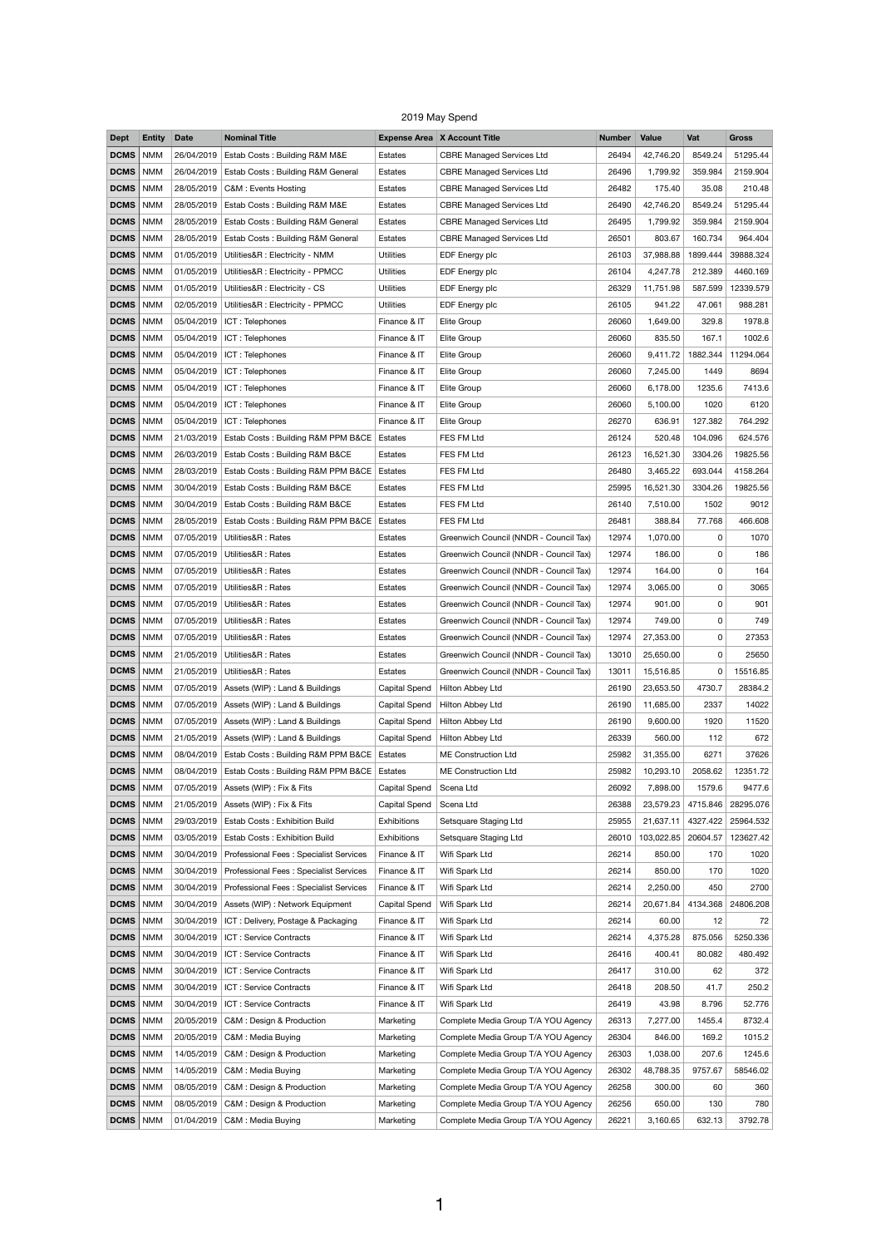## 2019 May Spend

| <b>Dept</b>       | <b>Entity</b> | <b>Date</b> | <b>Nominal Title</b>                                |                      | <b>Expense Area X Account Title</b>    | <b>Number</b> | <b>Value</b> | Vat      | <b>Gross</b> |
|-------------------|---------------|-------------|-----------------------------------------------------|----------------------|----------------------------------------|---------------|--------------|----------|--------------|
| <b>DCMS</b>       | <b>NMM</b>    | 26/04/2019  | Estab Costs: Building R&M M&E                       | Estates              | <b>CBRE Managed Services Ltd</b>       | 26494         | 42,746.20    | 8549.24  | 51295.44     |
| <b>DCMS</b>       | <b>NMM</b>    | 26/04/2019  | Estab Costs: Building R&M General                   | Estates              | <b>CBRE Managed Services Ltd</b>       | 26496         | 1,799.92     | 359.984  | 2159.904     |
| <b>DCMS</b>       | <b>NMM</b>    | 28/05/2019  | C&M: Events Hosting                                 | Estates              | <b>CBRE Managed Services Ltd</b>       | 26482         | 175.40       | 35.08    | 210.48       |
| <b>DCMS</b>       | <b>NMM</b>    | 28/05/2019  | Estab Costs: Building R&M M&E                       | Estates              | <b>CBRE Managed Services Ltd</b>       | 26490         | 42,746.20    | 8549.24  | 51295.44     |
| <b>DCMS</b>       | <b>NMM</b>    | 28/05/2019  | Estab Costs: Building R&M General                   | Estates              | <b>CBRE Managed Services Ltd</b>       | 26495         | 1,799.92     | 359.984  | 2159.904     |
| <b>DCMS</b>       | <b>NMM</b>    | 28/05/2019  | Estab Costs: Building R&M General                   | Estates              | <b>CBRE Managed Services Ltd</b>       | 26501         | 803.67       | 160.734  | 964.404      |
| <b>DCMS</b>       | <b>NMM</b>    | 01/05/2019  | Utilities&R : Electricity - NMM                     | <b>Utilities</b>     | EDF Energy plc                         | 26103         | 37,988.88    | 1899.444 | 39888.324    |
| <b>DCMS</b>       | <b>NMM</b>    | 01/05/2019  | Utilities&R : Electricity - PPMCC                   | <b>Utilities</b>     | EDF Energy plc                         | 26104         | 4,247.78     | 212.389  | 4460.169     |
| <b>DCMS</b>       | <b>NMM</b>    |             | 01/05/2019   Utilities&R : Electricity - CS         | <b>Utilities</b>     | EDF Energy plc                         | 26329         | 11,751.98    | 587.599  | 12339.579    |
| <b>DCMS</b>       | <b>NMM</b>    | 02/05/2019  | Utilities&R : Electricity - PPMCC                   | <b>Utilities</b>     | EDF Energy plc                         | 26105         | 941.22       | 47.061   | 988.281      |
| <b>DCMS</b>       | <b>NMM</b>    | 05/04/2019  | ICT: Telephones                                     | Finance & IT         | Elite Group                            | 26060         | 1,649.00     | 329.8    | 1978.8       |
|                   |               |             |                                                     |                      |                                        |               |              |          |              |
| <b>DCMS</b>       | <b>NMM</b>    | 05/04/2019  | ICT: Telephones                                     | Finance & IT         | Elite Group                            | 26060         | 835.50       | 167.1    | 1002.6       |
| <b>DCMS</b>       | <b>NMM</b>    | 05/04/2019  | ICT: Telephones                                     | Finance & IT         | Elite Group                            | 26060         | 9,411.72     | 1882.344 | 11294.064    |
| <b>DCMS</b>       | <b>NMM</b>    | 05/04/2019  | ICT: Telephones                                     | Finance & IT         | Elite Group                            | 26060         | 7,245.00     | 1449     | 8694         |
| <b>DCMS</b>       | <b>NMM</b>    | 05/04/2019  | ICT: Telephones                                     | Finance & IT         | Elite Group                            | 26060         | 6,178.00     | 1235.6   | 7413.6       |
| <b>DCMS</b>       | <b>NMM</b>    | 05/04/2019  | ICT: Telephones                                     | Finance & IT         | Elite Group                            | 26060         | 5,100.00     | 1020     | 6120         |
| <b>DCMS</b>       | <b>NMM</b>    | 05/04/2019  | ICT: Telephones                                     | Finance & IT         | Elite Group                            | 26270         | 636.91       | 127.382  | 764.292      |
| <b>DCMS</b>       | <b>NMM</b>    | 21/03/2019  | Estab Costs: Building R&M PPM B&CE                  | Estates              | FES FM Ltd                             | 26124         | 520.48       | 104.096  | 624.576      |
| <b>DCMS</b>       | <b>NMM</b>    | 26/03/2019  | Estab Costs: Building R&M B&CE                      | Estates              | FES FM Ltd                             | 26123         | 16,521.30    | 3304.26  | 19825.56     |
| <b>DCMS</b>       | <b>NMM</b>    | 28/03/2019  | Estab Costs: Building R&M PPM B&CE                  | Estates              | FES FM Ltd                             | 26480         | 3,465.22     | 693.044  | 4158.264     |
| <b>DCMS</b>       | <b>NMM</b>    | 30/04/2019  | Estab Costs: Building R&M B&CE                      | Estates              | FES FM Ltd                             | 25995         | 16,521.30    | 3304.26  | 19825.56     |
| <b>DCMS</b>       | <b>NMM</b>    |             | 30/04/2019 Estab Costs: Building R&M B&CE           | Estates              | FES FM Ltd                             | 26140         | 7,510.00     | 1502     | 9012         |
| <b>DCMS</b>       | <b>NMM</b>    | 28/05/2019  | Estab Costs: Building R&M PPM B&CE                  | Estates              | FES FM Ltd                             | 26481         | 388.84       | 77.768   | 466.608      |
| <b>DCMS</b>       | <b>NMM</b>    |             | 07/05/2019   Utilities&R : Rates                    | Estates              | Greenwich Council (NNDR - Council Tax) | 12974         | 1,070.00     | 0        | 1070         |
| <b>DCMS</b>       | <b>NMM</b>    | 07/05/2019  | Utilities&R: Rates                                  | Estates              | Greenwich Council (NNDR - Council Tax) | 12974         | 186.00       | 0        | 186          |
| <b>DCMS</b>       | <b>NMM</b>    | 07/05/2019  | Utilities&R: Rates                                  | Estates              | Greenwich Council (NNDR - Council Tax) | 12974         | 164.00       | 0        | 164          |
| <b>DCMS</b>       | <b>NMM</b>    |             | 07/05/2019   Utilities&R: Rates                     | Estates              | Greenwich Council (NNDR - Council Tax) | 12974         | 3,065.00     | 0        | 3065         |
| <b>DCMS</b>       | <b>NMM</b>    | 07/05/2019  | Utilities&R: Rates                                  | Estates              | Greenwich Council (NNDR - Council Tax) | 12974         | 901.00       | 0        | 901          |
| <b>DCMS</b>       | <b>NMM</b>    | 07/05/2019  | Utilities&R: Rates                                  | Estates              | Greenwich Council (NNDR - Council Tax) | 12974         | 749.00       | 0        | 749          |
| <b>DCMS</b>       | <b>NMM</b>    |             | 07/05/2019   Utilities&R : Rates                    | Estates              | Greenwich Council (NNDR - Council Tax) | 12974         | 27,353.00    | 0        | 27353        |
| <b>DCMS</b>       | <b>NMM</b>    | 21/05/2019  | Utilities&R: Rates                                  | Estates              | Greenwich Council (NNDR - Council Tax) | 13010         | 25,650.00    | 0        | 25650        |
| <b>DCMS</b>       | <b>NMM</b>    | 21/05/2019  | Utilities&R: Rates                                  | Estates              | Greenwich Council (NNDR - Council Tax) | 13011         | 15,516.85    | 0        | 15516.85     |
| <b>DCMS</b>       | <b>NMM</b>    |             | 07/05/2019 Assets (WIP) : Land & Buildings          | Capital Spend        | Hilton Abbey Ltd                       | 26190         | 23,653.50    | 4730.7   | 28384.2      |
| <b>DCMS</b>       | <b>NMM</b>    | 07/05/2019  | Assets (WIP) : Land & Buildings                     | <b>Capital Spend</b> | Hilton Abbey Ltd                       | 26190         | 11,685.00    | 2337     | 14022        |
| <b>DCMS</b>       | <b>NMM</b>    |             | 07/05/2019 Assets (WIP) : Land & Buildings          | Capital Spend        | Hilton Abbey Ltd                       | 26190         | 9,600.00     | 1920     | 11520        |
| <b>DCMS</b>       | <b>NMM</b>    | 21/05/2019  | Assets (WIP) : Land & Buildings                     | Capital Spend        | Hilton Abbey Ltd                       | 26339         | 560.00       | 112      | 672          |
|                   | <b>NMM</b>    | 08/04/2019  |                                                     |                      | <b>ME Construction Ltd</b>             |               |              |          |              |
| <b>DCMS</b>       |               |             | Estab Costs: Building R&M PPM B&CE                  | Estates              |                                        | 25982         | 31,355.00    | 6271     | 37626        |
| <b>DCMS</b>       | <b>NMM</b>    | 08/04/2019  | Estab Costs: Building R&M PPM B&CE                  | Estates              | <b>ME Construction Ltd</b>             | 25982         | 10,293.10    | 2058.62  | 12351.72     |
| <b>DCMS</b>       | <b>NMM</b>    | 07/05/2019  | Assets (WIP) : Fix & Fits                           | Capital Spend        | Scena Ltd                              | 26092         | 7,898.00     | 1579.6   | 9477.6       |
| <b>DCMS</b>       | <b>NMM</b>    | 21/05/2019  | Assets (WIP) : Fix & Fits                           | <b>Capital Spend</b> | Scena Ltd                              | 26388         | 23,579.23    | 4715.846 | 28295.076    |
| <b>DCMS</b>       | <b>NMM</b>    | 29/03/2019  | <b>Estab Costs: Exhibition Build</b>                | Exhibitions          | Setsquare Staging Ltd                  | 25955         | 21,637.11    | 4327.422 | 25964.532    |
| <b>DCMS</b>       | <b>NMM</b>    | 03/05/2019  | Estab Costs: Exhibition Build                       | <b>Exhibitions</b>   | Setsquare Staging Ltd                  | 26010         | 103,022.85   | 20604.57 | 123627.42    |
| <b>DCMS</b>       | <b>NMM</b>    | 30/04/2019  | Professional Fees: Specialist Services              | Finance & IT         | Wifi Spark Ltd                         | 26214         | 850.00       | 170      | 1020         |
| <b>DCMS</b>   NMM |               |             | 30/04/2019   Professional Fees: Specialist Services | Finance & IT         | Wifi Spark Ltd                         | 26214         | 850.00       | 170      | 1020         |
| <b>DCMS</b>       | <b>NMM</b>    | 30/04/2019  | Professional Fees: Specialist Services              | Finance & IT         | Wifi Spark Ltd                         | 26214         | 2,250.00     | 450      | 2700         |
| <b>DCMS</b>       | <b>NMM</b>    | 30/04/2019  | Assets (WIP) : Network Equipment                    | <b>Capital Spend</b> | Wifi Spark Ltd                         | 26214         | 20,671.84    | 4134.368 | 24806.208    |
| <b>DCMS</b>       | <b>NMM</b>    | 30/04/2019  | ICT: Delivery, Postage & Packaging                  | Finance & IT         | Wifi Spark Ltd                         | 26214         | 60.00        | 12       | 72           |
| <b>DCMS</b>       | <b>NMM</b>    | 30/04/2019  | ICT: Service Contracts                              | Finance & IT         | Wifi Spark Ltd                         | 26214         | 4,375.28     | 875.056  | 5250.336     |
| <b>DCMS</b>       | <b>NMM</b>    | 30/04/2019  | ICT : Service Contracts                             | Finance & IT         | Wifi Spark Ltd                         | 26416         | 400.41       | 80.082   | 480.492      |
| <b>DCMS</b>       | <b>NMM</b>    | 30/04/2019  | ICT : Service Contracts                             | Finance & IT         | Wifi Spark Ltd                         | 26417         | 310.00       | 62       | 372          |
| <b>DCMS</b>       | <b>NMM</b>    | 30/04/2019  | ICT: Service Contracts                              | Finance & IT         | Wifi Spark Ltd                         | 26418         | 208.50       | 41.7     | 250.2        |
| <b>DCMS</b>       | <b>NMM</b>    | 30/04/2019  | ICT : Service Contracts                             | Finance & IT         | Wifi Spark Ltd                         | 26419         | 43.98        | 8.796    | 52.776       |
| <b>DCMS</b>       | <b>NMM</b>    | 20/05/2019  | C&M : Design & Production                           | Marketing            | Complete Media Group T/A YOU Agency    | 26313         | 7,277.00     | 1455.4   | 8732.4       |
| <b>DCMS</b>       | <b>NMM</b>    | 20/05/2019  | C&M : Media Buying                                  | Marketing            | Complete Media Group T/A YOU Agency    | 26304         | 846.00       | 169.2    | 1015.2       |
| <b>DCMS</b>       | <b>NMM</b>    | 14/05/2019  | C&M : Design & Production                           | Marketing            | Complete Media Group T/A YOU Agency    | 26303         | 1,038.00     | 207.6    | 1245.6       |
| <b>DCMS</b>       | <b>NMM</b>    | 14/05/2019  | C&M : Media Buying                                  | Marketing            | Complete Media Group T/A YOU Agency    | 26302         | 48,788.35    | 9757.67  | 58546.02     |
| <b>DCMS</b>       | <b>NMM</b>    | 08/05/2019  | C&M : Design & Production                           | Marketing            | Complete Media Group T/A YOU Agency    | 26258         | 300.00       | 60       | 360          |
| <b>DCMS</b>       | <b>NMM</b>    | 08/05/2019  | C&M : Design & Production                           | Marketing            | Complete Media Group T/A YOU Agency    | 26256         | 650.00       | 130      | 780          |
| DCMS              | <b>NMM</b>    |             | 01/04/2019   C&M : Media Buying                     | Marketing            | Complete Media Group T/A YOU Agency    | 26221         | 3,160.65     | 632.13   | 3792.78      |